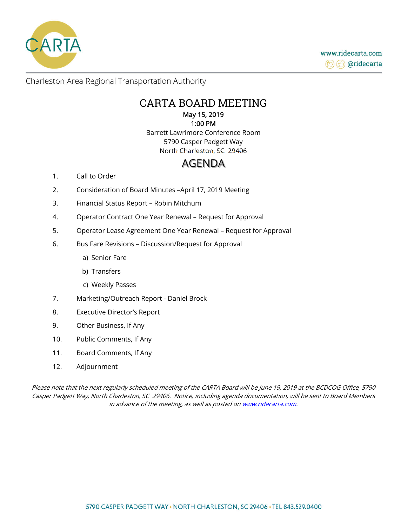

Charleston Area Regional Transportation Authority

## CARTA BOARD MEETING May 15, 2019

# 1:00 PM

Barrett Lawrimore Conference Room 5790 Casper Padgett Way North Charleston, SC 29406

# AGENDA

- 1. Call to Order
- 2. Consideration of Board Minutes –April 17, 2019 Meeting
- 3. Financial Status Report Robin Mitchum
- 4. Operator Contract One Year Renewal Request for Approval
- 5. Operator Lease Agreement One Year Renewal Request for Approval
- 6. Bus Fare Revisions Discussion/Request for Approval
	- a) Senior Fare
	- b) Transfers
	- c) Weekly Passes
- 7. Marketing/Outreach Report Daniel Brock
- 8. Executive Director's Report
- 9. Other Business, If Any
- 10. Public Comments, If Any
- 11. Board Comments, If Any
- 12. Adjournment

Please note that the next regularly scheduled meeting of the CARTA Board will be June 19, 2019 at the BCDCOG Office, 5790 Casper Padgett Way, North Charleston, SC 29406. Notice, including agenda documentation, will be sent to Board Members in advance of the meeting, as well as posted on www.ridecarta.com.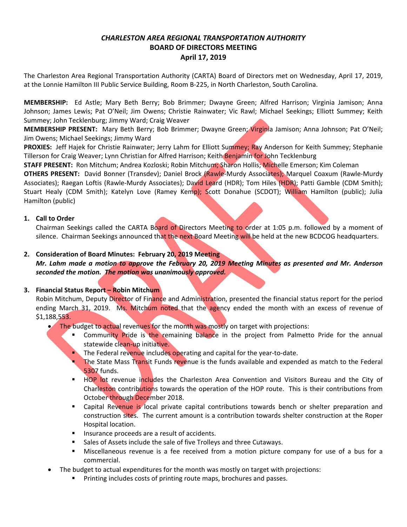### *CHARLESTON AREA REGIONAL TRANSPORTATION AUTHORITY*  **BOARD OF DIRECTORS MEETING April 17, 2019**

The Charleston Area Regional Transportation Authority (CARTA) Board of Directors met on Wednesday, April 17, 2019, at the Lonnie Hamilton III Public Service Building, Room B‐225, in North Charleston, South Carolina.

**MEMBERSHIP:**  Ed Astle; Mary Beth Berry; Bob Brimmer; Dwayne Green; Alfred Harrison; Virginia Jamison; Anna Johnson; James Lewis; Pat O'Neil; Jim Owens; Christie Rainwater; Vic Rawl; Michael Seekings; Elliott Summey; Keith Summey; John Tecklenburg; Jimmy Ward; Craig Weaver

**MEMBERSHIP PRESENT:** Mary Beth Berry; Bob Brimmer; Dwayne Green; Virginia Jamison; Anna Johnson; Pat O'Neil; Jim Owens; Michael Seekings; Jimmy Ward

**PROXIES:** Jeff Hajek for Christie Rainwater; Jerry Lahm for Elliott Summey; Ray Anderson for Keith Summey; Stephanie Tillerson for Craig Weaver; Lynn Christian for Alfred Harrison; Keith Benjamin for John Tecklenburg

**STAFF PRESENT:** Ron Mitchum; Andrea Kozloski; Robin Mitchum; Sharon Hollis; Michelle Emerson; Kim Coleman

**OTHERS PRESENT:**  David Bonner (Transdev); Daniel Brock (Rawle‐Murdy Associates); Marquel Coaxum (Rawle‐Murdy Associates); Raegan Loftis (Rawle-Murdy Associates); David Leard (HDR); Tom Hiles (HDR); Patti Gamble (CDM Smith); Stuart Healy (CDM Smith); Katelyn Love (Ramey Kemp); Scott Donahue (SCDOT); William Hamilton (public); Julia Hamilton (public)

### **1. Call to Order**

Chairman Seekings called the CARTA Board of Directors Meeting to order at 1:05 p.m. followed by a moment of silence. Chairman Seekings announced that the next Board Meeting will be held at the new BCDCOG headquarters.

### **2. Consideration of Board Minutes: February 20, 2019 Meeting**

*Mr. Lahm made a motion to approve the February 20, 2019 Meeting Minutes as presented and Mr. Anderson seconded the motion. The motion was unanimously approved.* 

### **3. Financial Status Report – Robin Mitchum**

Robin Mitchum, Deputy Director of Finance and Administration, presented the financial status report for the period ending March 31, 2019. Ms. Mitchum noted that the agency ended the month with an excess of revenue of \$1,188,553.

- The budget to actual revenues for the month was mostly on target with projections:
	- Community Pride is the remaining balance in the project from Palmetto Pride for the annual statewide clean-up initiative.
	- The Federal revenue includes operating and capital for the year-to-date.
	- The State Mass Transit Funds revenue is the funds available and expended as match to the Federal 5307 funds.
	- HOP lot revenue includes the Charleston Area Convention and Visitors Bureau and the City of Charleston contributions towards the operation of the HOP route. This is their contributions from October through December 2018.
	- **EXEC** Capital Revenue is local private capital contributions towards bench or shelter preparation and construction sites. The current amount is a contribution towards shelter construction at the Roper Hospital location.
	- **Insurance proceeds are a result of accidents.**
	- **Sales of Assets include the sale of five Trolleys and three Cutaways.**
	- Miscellaneous revenue is a fee received from a motion picture company for use of a bus for a commercial.
- The budget to actual expenditures for the month was mostly on target with projections:
	- **Printing includes costs of printing route maps, brochures and passes.**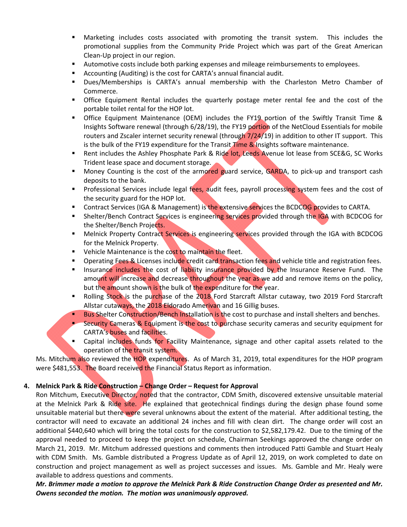- Marketing includes costs associated with promoting the transit system. This includes the promotional supplies from the Community Pride Project which was part of the Great American Clean‐Up project in our region.
- **Automotive costs include both parking expenses and mileage reimbursements to employees.**
- Accounting (Auditing) is the cost for CARTA's annual financial audit.
- Dues/Memberships is CARTA's annual membership with the Charleston Metro Chamber of Commerce.
- Office Equipment Rental includes the quarterly postage meter rental fee and the cost of the portable toilet rental for the HOP lot.
- Office Equipment Maintenance (OEM) includes the FY19 portion of the Swiftly Transit Time & Insights Software renewal (through 6/28/19), the FY19 portion of the NetCloud Essentials for mobile routers and Zscaler internet security renewal (through  $7/24/19$ ) in addition to other IT support. This is the bulk of the FY19 expenditure for the Transit Time & Insights software maintenance.
- Rent includes the Ashley Phosphate Park & Ride lot, Leeds Avenue lot lease from SCE&G, SC Works Trident lease space and document storage.
- Money Counting is the cost of the armored guard service, GARDA, to pick-up and transport cash deposits to the bank.
- Professional Services include legal fees, audit fees, payroll processing system fees and the cost of the security guard for the HOP lot.
- **Contract Services (IGA & Management) is the extensive services the BCDCOG provides to CARTA.**
- **Shelter/Bench Contract Services is engineering services provided through the IGA with BCDCOG for** the Shelter/Bench Projects.
- Melnick Property Contract Services is engineering services provided through the IGA with BCDCOG for the Melnick Property.
- Vehicle Maintenance is the cost to maintain the fleet.
- **Dearating Fees & Licenses include credit card transaction fees and vehicle title and registration fees.**
- Insurance includes the cost of liability insurance provided by the Insurance Reserve Fund. The amount will increase and decrease throughout the year as we add and remove items on the policy, but the amount shown is the bulk of the expenditure for the year.
- Rolling Stock is the purchase of the 2018 Ford Starcraft Allstar cutaway, two 2019 Ford Starcraft Allstar cutaways, the 2018 Eldorado Amerivan and 16 Gillig buses.
- **Bus Shelter Construction/Bench Installation is the cost to purchase and install shelters and benches.**
- Security Cameras & Equipment is the cost to purchase security cameras and security equipment for CARTA's buses and facilities.
- **EXP** Capital includes funds for Facility Maintenance, signage and other capital assets related to the operation of the transit system.

Ms. Mitchum also reviewed the HOP expenditures. As of March 31, 2019, total expenditures for the HOP program were \$481,553. The Board received the Financial Status Report as information.

#### **4. Melnick Park & Ride Construction – Change Order – Request for Approval**

Ron Mitchum, Executive Director, noted that the contractor, CDM Smith, discovered extensive unsuitable material at the Melnick Park & Ride site. He explained that geotechnical findings during the design phase found some unsuitable material but there were several unknowns about the extent of the material. After additional testing, the contractor will need to excavate an additional 24 inches and fill with clean dirt. The change order will cost an additional \$440,640 which will bring the total costs for the construction to \$2,582,179.42. Due to the timing of the approval needed to proceed to keep the project on schedule, Chairman Seekings approved the change order on March 21, 2019. Mr. Mitchum addressed questions and comments then introduced Patti Gamble and Stuart Healy with CDM Smith. Ms. Gamble distributed a Progress Update as of April 12, 2019, on work completed to date on construction and project management as well as project successes and issues. Ms. Gamble and Mr. Healy were available to address questions and comments.

*Mr. Brimmer made a motion to approve the Melnick Park & Ride Construction Change Order as presented and Mr. Owens seconded the motion. The motion was unanimously approved.*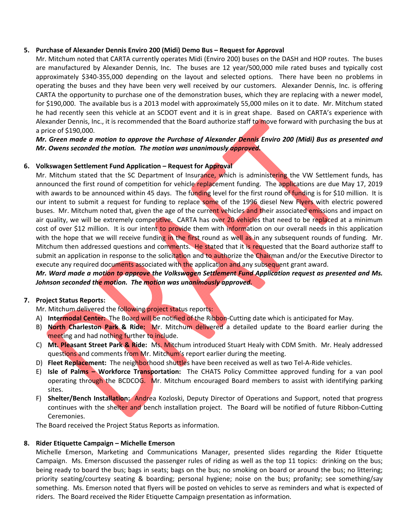#### **5. Purchase of Alexander Dennis Enviro 200 (Midi) Demo Bus – Request for Approval**

Mr. Mitchum noted that CARTA currently operates Midi (Enviro 200) buses on the DASH and HOP routes. The buses are manufactured by Alexander Dennis, Inc. The buses are 12 year/500,000 mile rated buses and typically cost approximately \$340-355,000 depending on the layout and selected options. There have been no problems in operating the buses and they have been very well received by our customers. Alexander Dennis, Inc. is offering CARTA the opportunity to purchase one of the demonstration buses, which they are replacing with a newer model, for \$190,000. The available bus is a 2013 model with approximately 55,000 miles on it to date. Mr. Mitchum stated he had recently seen this vehicle at an SCDOT event and it is in great shape. Based on CARTA's experience with Alexander Dennis, Inc., it is recommended that the Board authorize staff to move forward with purchasing the bus at a price of \$190,000.

#### *Mr. Green made a motion to approve the Purchase of Alexander Dennis Enviro 200 (Midi) Bus as presented and Mr. Owens seconded the motion. The motion was unanimously approved.*

#### **6. Volkswagen Settlement Fund Application – Request for Approval**

Mr. Mitchum stated that the SC Department of Insurance, which is administering the VW Settlement funds, has announced the first round of competition for vehicle replacement funding. The applications are due May 17, 2019 with awards to be announced within 45 days. The funding level for the first round of funding is for \$10 million. It is our intent to submit a request for funding to replace some of the 1996 diesel New Flyers with electric powered buses. Mr. Mitchum noted that, given the age of the current vehicles and their associated emissions and impact on air quality, we will be extremely competitive. CARTA has over 20 vehicles that need to be replaced at a minimum cost of over \$12 million. It is our intent to provide them with information on our overall needs in this application with the hope that we will receive funding in the first round as well as in any subsequent rounds of funding. Mr. Mitchum then addressed questions and comments. He stated that it is requested that the Board authorize staff to submit an application in response to the solicitation and to authorize the Chairman and/or the Executive Director to execute any required documents associated with the application and any subsequent grant award.

#### *Mr. Ward made a motion to approve the Volkswagen Settlement Fund Application request as presented and Ms. Johnson seconded the motion. The motion was unanimously approved.*

#### **7. Project Status Reports:**

Mr. Mitchum delivered the following project status reports:

- A) **Intermodal Center:** The Board will be notified of the Ribbon‐Cutting date which is anticipated for May.
- B) **North Charleston Park & Ride:** Mr. Mitchum delivered a detailed update to the Board earlier during the meeting and had nothing further to include.
- C) **Mt. Pleasant Street Park & Ride:** Ms. Mitchum introduced Stuart Healy with CDM Smith. Mr. Healy addressed questions and comments from Mr. Mitchum's report earlier during the meeting.
- D) **Fleet Replacement:** The neighborhood shuttles have been received as well as two Tel-A-Ride vehicles.
- E) **Isle of Palms Workforce Transportation:** The CHATS Policy Committee approved funding for a van pool operating through the BCDCOG. Mr. Mitchum encouraged Board members to assist with identifying parking sites.
- F) **Shelter/Bench Installation:** Andrea Kozloski, Deputy Director of Operations and Support, noted that progress continues with the shelter and bench installation project. The Board will be notified of future Ribbon-Cutting Ceremonies.

The Board received the Project Status Reports as information.

#### **8. Rider Etiquette Campaign – Michelle Emerson**

Michelle Emerson, Marketing and Communications Manager, presented slides regarding the Rider Etiquette Campaign. Ms. Emerson discussed the passenger rules of riding as well as the top 11 topics: drinking on the bus; being ready to board the bus; bags in seats; bags on the bus; no smoking on board or around the bus; no littering; priority seating/courtesy seating & boarding; personal hygiene; noise on the bus; profanity; see something/say something. Ms. Emerson noted that flyers will be posted on vehicles to serve as reminders and what is expected of riders. The Board received the Rider Etiquette Campaign presentation as information.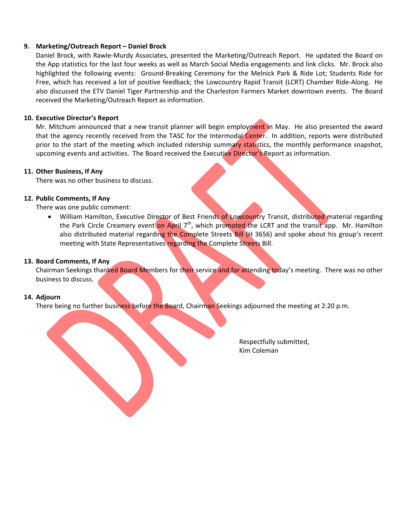#### **9. Marketing/Outreach Report – Daniel Brock**

Daniel Brock, with Rawle‐Murdy Associates, presented the Marketing/Outreach Report. He updated the Board on the App statistics for the last four weeks as well as March Social Media engagements and link clicks. Mr. Brock also highlighted the following events: Ground-Breaking Ceremony for the Melnick Park & Ride Lot; Students Ride for Free, which has received a lot of positive feedback; the Lowcountry Rapid Transit (LCRT) Chamber Ride‐Along. He also discussed the ETV Daniel Tiger Partnership and the Charleston Farmers Market downtown events. The Board received the Marketing/Outreach Report as information.

#### **10. Executive Director's Report**

Mr. Mitchum announced that a new transit planner will begin employment in May. He also presented the award that the agency recently received from the TASC for the Intermodal Center. In addition, reports were distributed prior to the start of the meeting which included ridership summary statistics, the monthly performance snapshot, upcoming events and activities. The Board received the Executive Director's Report as information.

#### **11. Other Business, If Any**

There was no other business to discuss.

#### **12. Public Comments, If Any**

There was one public comment:

William Hamilton, Executive Director of Best Friends of Lowcountry Transit, distributed material regarding the Park Circle Creamery event on April 7<sup>th</sup>, which promoted the LCRT and the transit app. Mr. Hamilton also distributed material regarding the Complete Streets Bill (H 3656) and spoke about his group's recent meeting with State Representatives regarding the Complete Streets Bill.

#### **13. Board Comments, If Any**

Chairman Seekings thanked Board Members for their service and for attending today's meeting. There was no other business to discuss.

#### **14. Adjourn**

There being no further business before the Board, Chairman Seekings adjourned the meeting at 2:20 p.m.

 Respectfully submitted, Kim Coleman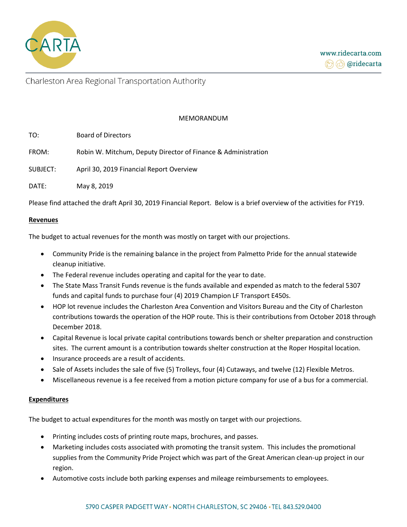

Charleston Area Regional Transportation Authority

#### MEMORANDUM

| TO:      | <b>Board of Directors</b>                                     |
|----------|---------------------------------------------------------------|
| FROM:    | Robin W. Mitchum, Deputy Director of Finance & Administration |
| SUBJECT: | April 30, 2019 Financial Report Overview                      |
| DATE:    | May 8, 2019                                                   |

Please find attached the draft April 30, 2019 Financial Report. Below is a brief overview of the activities for FY19.

#### **Revenues**

The budget to actual revenues for the month was mostly on target with our projections.

- Community Pride is the remaining balance in the project from Palmetto Pride for the annual statewide cleanup initiative.
- The Federal revenue includes operating and capital for the year to date.
- The State Mass Transit Funds revenue is the funds available and expended as match to the federal 5307 funds and capital funds to purchase four (4) 2019 Champion LF Transport E450s.
- HOP lot revenue includes the Charleston Area Convention and Visitors Bureau and the City of Charleston contributions towards the operation of the HOP route. This is their contributions from October 2018 through December 2018.
- Capital Revenue is local private capital contributions towards bench or shelter preparation and construction sites. The current amount is a contribution towards shelter construction at the Roper Hospital location.
- Insurance proceeds are a result of accidents.
- Sale of Assets includes the sale of five (5) Trolleys, four (4) Cutaways, and twelve (12) Flexible Metros.
- Miscellaneous revenue is a fee received from a motion picture company for use of a bus for a commercial.

#### **Expenditures**

The budget to actual expenditures for the month was mostly on target with our projections.

- Printing includes costs of printing route maps, brochures, and passes.
- Marketing includes costs associated with promoting the transit system. This includes the promotional supplies from the Community Pride Project which was part of the Great American clean-up project in our region.
- Automotive costs include both parking expenses and mileage reimbursements to employees.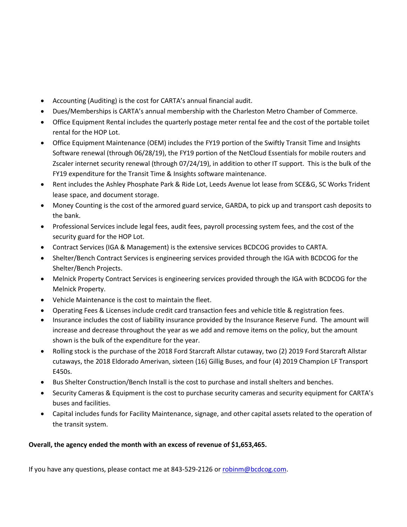- Accounting (Auditing) is the cost for CARTA's annual financial audit.
- Dues/Memberships is CARTA's annual membership with the Charleston Metro Chamber of Commerce.
- Office Equipment Rental includes the quarterly postage meter rental fee and the cost of the portable toilet rental for the HOP Lot.
- Office Equipment Maintenance (OEM) includes the FY19 portion of the Swiftly Transit Time and Insights Software renewal (through 06/28/19), the FY19 portion of the NetCloud Essentials for mobile routers and Zscaler internet security renewal (through 07/24/19), in addition to other IT support. This is the bulk of the FY19 expenditure for the Transit Time & Insights software maintenance.
- Rent includes the Ashley Phosphate Park & Ride Lot, Leeds Avenue lot lease from SCE&G, SC Works Trident lease space, and document storage.
- Money Counting is the cost of the armored guard service, GARDA, to pick up and transport cash deposits to the bank.
- Professional Services include legal fees, audit fees, payroll processing system fees, and the cost of the security guard for the HOP Lot.
- Contract Services (IGA & Management) is the extensive services BCDCOG provides to CARTA.
- Shelter/Bench Contract Services is engineering services provided through the IGA with BCDCOG for the Shelter/Bench Projects.
- Melnick Property Contract Services is engineering services provided through the IGA with BCDCOG for the Melnick Property.
- Vehicle Maintenance is the cost to maintain the fleet.
- Operating Fees & Licenses include credit card transaction fees and vehicle title & registration fees.
- Insurance includes the cost of liability insurance provided by the Insurance Reserve Fund. The amount will increase and decrease throughout the year as we add and remove items on the policy, but the amount shown is the bulk of the expenditure for the year.
- Rolling stock is the purchase of the 2018 Ford Starcraft Allstar cutaway, two (2) 2019 Ford Starcraft Allstar cutaways, the 2018 Eldorado Amerivan, sixteen (16) Gillig Buses, and four (4) 2019 Champion LF Transport E450s.
- Bus Shelter Construction/Bench Install is the cost to purchase and install shelters and benches.
- Security Cameras & Equipment is the cost to purchase security cameras and security equipment for CARTA's buses and facilities.
- Capital includes funds for Facility Maintenance, signage, and other capital assets related to the operation of the transit system.

### **Overall, the agency ended the month with an excess of revenue of \$1,653,465.**

If you have any questions, please contact me at 843-529-2126 o[r robinm@bcdcog.com.](mailto:robinm@bcdcog.com)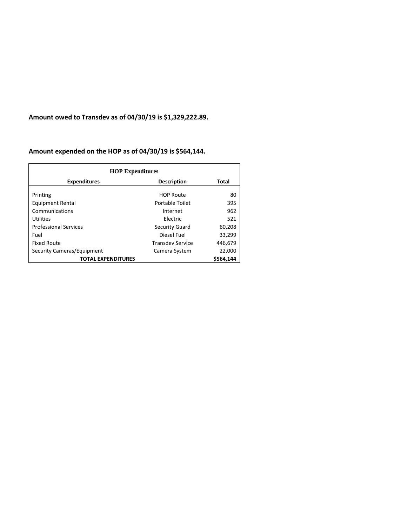**Amount owed to Transdev as of 04/30/19 is \$1,329,222.89.** 

### **Amount expended on the HOP as of 04/30/19 is \$564,144.**

| <b>HOP Expenditures</b>                |                         |         |  |  |
|----------------------------------------|-------------------------|---------|--|--|
| <b>Expenditures</b>                    | <b>Description</b>      | Total   |  |  |
| Printing                               | <b>HOP Route</b>        | 80      |  |  |
| Equipment Rental                       | Portable Toilet         | 395     |  |  |
| Communications                         | Internet                | 962     |  |  |
| <b>Utilities</b>                       | Electric                | 521     |  |  |
| <b>Professional Services</b>           | Security Guard          | 60,208  |  |  |
| Fuel                                   | Diesel Fuel             | 33,299  |  |  |
| <b>Fixed Route</b>                     | <b>Transdev Service</b> | 446,679 |  |  |
| Security Cameras/Equipment             | Camera System           | 22,000  |  |  |
| \$564.144<br><b>TOTAL EXPENDITURES</b> |                         |         |  |  |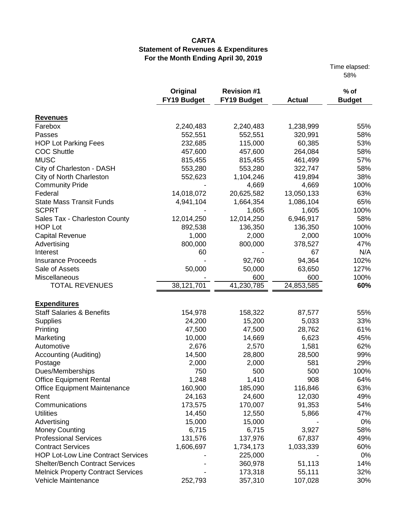Time elapsed: 58%

|                                             | Original    | <b>Revision #1</b> |               | $%$ of        |
|---------------------------------------------|-------------|--------------------|---------------|---------------|
|                                             | FY19 Budget | <b>FY19 Budget</b> | <b>Actual</b> | <b>Budget</b> |
| <b>Revenues</b>                             |             |                    |               |               |
| Farebox                                     | 2,240,483   | 2,240,483          | 1,238,999     | 55%           |
| Passes                                      | 552,551     | 552,551            | 320,991       | 58%           |
| <b>HOP Lot Parking Fees</b>                 | 232,685     | 115,000            | 60,385        | 53%           |
| <b>COC Shuttle</b>                          | 457,600     | 457,600            | 264,084       | 58%           |
| <b>MUSC</b>                                 | 815,455     | 815,455            | 461,499       | 57%           |
| City of Charleston - DASH                   | 553,280     | 553,280            | 322,747       | 58%           |
| City of North Charleston                    | 552,623     | 1,104,246          | 419,894       | 38%           |
| <b>Community Pride</b>                      |             | 4,669              | 4,669         | 100%          |
| Federal                                     | 14,018,072  | 20,625,582         | 13,050,133    | 63%           |
| <b>State Mass Transit Funds</b>             | 4,941,104   | 1,664,354          | 1,086,104     | 65%           |
| <b>SCPRT</b>                                |             | 1,605              | 1,605         | 100%          |
| Sales Tax - Charleston County               | 12,014,250  | 12,014,250         | 6,946,917     | 58%           |
| <b>HOP Lot</b>                              | 892,538     | 136,350            | 136,350       | 100%          |
| <b>Capital Revenue</b>                      | 1,000       | 2,000              | 2,000         | 100%          |
|                                             |             |                    |               | 47%           |
| Advertising                                 | 800,000     | 800,000            | 378,527       |               |
| Interest                                    | 60          |                    | 67            | N/A<br>102%   |
| <b>Insurance Proceeds</b><br>Sale of Assets |             | 92,760             | 94,364        |               |
| Miscellaneous                               | 50,000      | 50,000             | 63,650        | 127%          |
|                                             |             | 600                | 600           | 100%          |
| <b>TOTAL REVENUES</b>                       | 38,121,701  | 41,230,785         | 24,853,585    | 60%           |
| <b>Expenditures</b>                         |             |                    |               |               |
| <b>Staff Salaries &amp; Benefits</b>        | 154,978     | 158,322            | 87,577        | 55%           |
| <b>Supplies</b>                             | 24,200      | 15,200             | 5,033         | 33%           |
| Printing                                    | 47,500      | 47,500             | 28,762        | 61%           |
| Marketing                                   | 10,000      | 14,669             | 6,623         | 45%           |
| Automotive                                  | 2,676       | 2,570              | 1,581         | 62%           |
| <b>Accounting (Auditing)</b>                | 14,500      | 28,800             | 28,500        | 99%           |
| Postage                                     | 2,000       | 2,000              | 581           | 29%           |
| Dues/Memberships                            | 750         | 500                | 500           | 100%          |
| <b>Office Equipment Rental</b>              | 1,248       | 1,410              | 908           | 64%           |
| Office Equipment Maintenance                | 160,900     | 185,090            | 116,846       | 63%           |
| Rent                                        | 24,163      | 24,600             | 12,030        | 49%           |
| Communications                              | 173,575     | 170,007            | 91,353        | 54%           |
| <b>Utilities</b>                            | 14,450      | 12,550             | 5,866         | 47%           |
| Advertising                                 | 15,000      | 15,000             |               | 0%            |
| <b>Money Counting</b>                       | 6,715       | 6,715              | 3,927         | 58%           |
| <b>Professional Services</b>                | 131,576     | 137,976            | 67,837        | 49%           |
| <b>Contract Services</b>                    | 1,606,697   | 1,734,173          | 1,033,339     | 60%           |
| <b>HOP Lot-Low Line Contract Services</b>   |             | 225,000            |               | 0%            |
| <b>Shelter/Bench Contract Services</b>      |             | 360,978            | 51,113        | 14%           |
| <b>Melnick Property Contract Services</b>   |             | 173,318            | 55,111        | 32%           |
| Vehicle Maintenance                         | 252,793     | 357,310            | 107,028       | 30%           |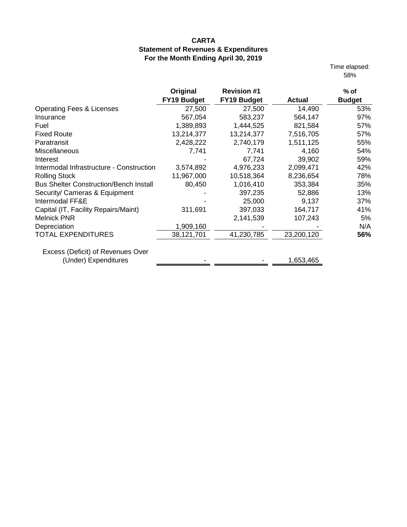Time elapsed: 58%

|                                               | Original           | <b>Revision #1</b> |               | $%$ of        |
|-----------------------------------------------|--------------------|--------------------|---------------|---------------|
|                                               | <b>FY19 Budget</b> | <b>FY19 Budget</b> | <b>Actual</b> | <b>Budget</b> |
| <b>Operating Fees &amp; Licenses</b>          | 27,500             | 27,500             | 14,490        | 53%           |
| Insurance                                     | 567,054            | 583,237            | 564,147       | 97%           |
| Fuel                                          | 1,389,893          | 1,444,525          | 821,584       | 57%           |
| <b>Fixed Route</b>                            | 13,214,377         | 13,214,377         | 7,516,705     | 57%           |
| Paratransit                                   | 2,428,222          | 2,740,179          | 1,511,125     | 55%           |
| <b>Miscellaneous</b>                          | 7,741              | 7,741              | 4,160         | 54%           |
| Interest                                      |                    | 67,724             | 39,902        | 59%           |
| Intermodal Infrastructure - Construction      | 3,574,892          | 4,976,233          | 2,099,471     | 42%           |
| <b>Rolling Stock</b>                          | 11,967,000         | 10,518,364         | 8,236,654     | 78%           |
| <b>Bus Shelter Construction/Bench Install</b> | 80,450             | 1,016,410          | 353,384       | 35%           |
| Security/ Cameras & Equipment                 |                    | 397,235            | 52,886        | 13%           |
| Intermodal FF&E                               |                    | 25,000             | 9,137         | 37%           |
| Capital (IT, Facility Repairs/Maint)          | 311,691            | 397,033            | 164,717       | 41%           |
| <b>Melnick PNR</b>                            |                    | 2,141,539          | 107,243       | 5%            |
| Depreciation                                  | 1,909,160          |                    |               | N/A           |
| <b>TOTAL EXPENDITURES</b>                     | 38,121,701         | 41,230,785         | 23,200,120    | 56%           |
| Excess (Deficit) of Revenues Over             |                    |                    |               |               |
| (Under) Expenditures                          |                    |                    | 1,653,465     |               |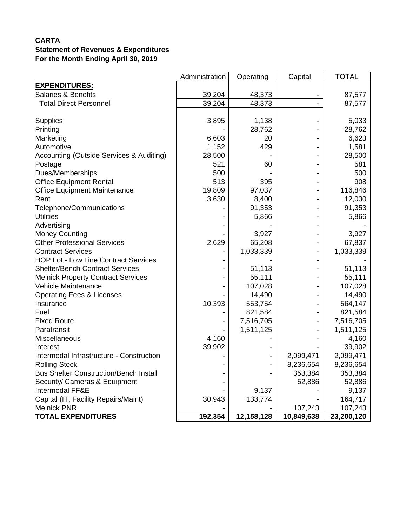|                                               | Administration | Operating  | Capital    | <b>TOTAL</b> |
|-----------------------------------------------|----------------|------------|------------|--------------|
| <b>EXPENDITURES:</b>                          |                |            |            |              |
| <b>Salaries &amp; Benefits</b>                | 39,204         | 48,373     |            | 87,577       |
| <b>Total Direct Personnel</b>                 | 39,204         | 48,373     |            | 87,577       |
|                                               |                |            |            |              |
| <b>Supplies</b>                               | 3,895          | 1,138      |            | 5,033        |
| Printing                                      |                | 28,762     |            | 28,762       |
| Marketing                                     | 6,603          | 20         |            | 6,623        |
| Automotive                                    | 1,152          | 429        |            | 1,581        |
| Accounting (Outside Services & Auditing)      | 28,500         |            |            | 28,500       |
| Postage                                       | 521            | 60         |            | 581          |
| Dues/Memberships                              | 500            |            |            | 500          |
| <b>Office Equipment Rental</b>                | 513            | 395        |            | 908          |
| <b>Office Equipment Maintenance</b>           | 19,809         | 97,037     |            | 116,846      |
| Rent                                          | 3,630          | 8,400      |            | 12,030       |
| Telephone/Communications                      |                | 91,353     |            | 91,353       |
| <b>Utilities</b>                              |                | 5,866      |            | 5,866        |
| Advertising                                   |                |            |            |              |
| <b>Money Counting</b>                         |                | 3,927      |            | 3,927        |
| <b>Other Professional Services</b>            | 2,629          | 65,208     |            | 67,837       |
| <b>Contract Services</b>                      |                | 1,033,339  |            | 1,033,339    |
| <b>HOP Lot - Low Line Contract Services</b>   |                |            |            |              |
| <b>Shelter/Bench Contract Services</b>        |                | 51,113     |            | 51,113       |
| <b>Melnick Property Contract Services</b>     |                | 55,111     |            | 55,111       |
| Vehicle Maintenance                           |                | 107,028    |            | 107,028      |
| <b>Operating Fees &amp; Licenses</b>          |                | 14,490     |            | 14,490       |
| Insurance                                     | 10,393         | 553,754    |            | 564,147      |
| Fuel                                          |                | 821,584    |            | 821,584      |
| <b>Fixed Route</b>                            |                | 7,516,705  |            | 7,516,705    |
| Paratransit                                   |                | 1,511,125  |            | 1,511,125    |
| Miscellaneous                                 | 4,160          |            |            | 4,160        |
| Interest                                      | 39,902         |            |            | 39,902       |
| Intermodal Infrastructure - Construction      |                |            | 2,099,471  | 2,099,471    |
| <b>Rolling Stock</b>                          |                |            | 8,236,654  | 8,236,654    |
| <b>Bus Shelter Construction/Bench Install</b> |                |            | 353,384    | 353,384      |
| Security/ Cameras & Equipment                 |                |            | 52,886     | 52,886       |
| Intermodal FF&E                               |                | 9,137      |            | 9,137        |
| Capital (IT, Facility Repairs/Maint)          | 30,943         | 133,774    |            | 164,717      |
| <b>Melnick PNR</b>                            |                |            | 107,243    | 107,243      |
| <b>TOTAL EXPENDITURES</b>                     | 192,354        | 12,158,128 | 10,849,638 | 23,200,120   |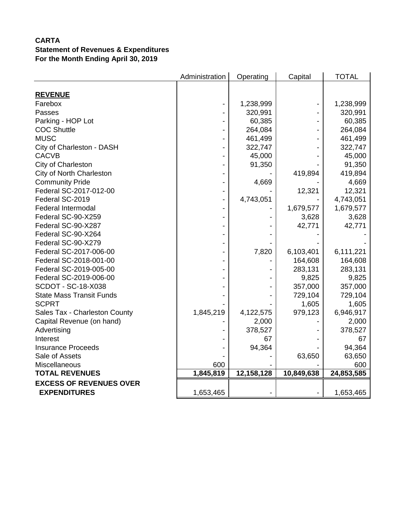|                                 | Administration | Operating  | Capital    | <b>TOTAL</b> |
|---------------------------------|----------------|------------|------------|--------------|
| <b>REVENUE</b>                  |                |            |            |              |
| Farebox                         |                | 1,238,999  |            | 1,238,999    |
| Passes                          |                | 320,991    |            | 320,991      |
| Parking - HOP Lot               |                | 60,385     |            | 60,385       |
| <b>COC Shuttle</b>              |                | 264,084    |            | 264,084      |
| <b>MUSC</b>                     |                | 461,499    |            | 461,499      |
| City of Charleston - DASH       |                | 322,747    |            | 322,747      |
| <b>CACVB</b>                    |                | 45,000     |            | 45,000       |
| City of Charleston              |                | 91,350     |            | 91,350       |
| City of North Charleston        |                |            | 419,894    | 419,894      |
| <b>Community Pride</b>          |                | 4,669      |            | 4,669        |
| Federal SC-2017-012-00          |                |            | 12,321     | 12,321       |
| Federal SC-2019                 |                | 4,743,051  |            | 4,743,051    |
| <b>Federal Intermodal</b>       |                |            | 1,679,577  | 1,679,577    |
| Federal SC-90-X259              |                |            | 3,628      | 3,628        |
| Federal SC-90-X287              |                |            | 42,771     | 42,771       |
| Federal SC-90-X264              |                |            |            |              |
| Federal SC-90-X279              |                |            |            |              |
| Federal SC-2017-006-00          |                | 7,820      | 6,103,401  | 6,111,221    |
| Federal SC-2018-001-00          |                |            | 164,608    | 164,608      |
| Federal SC-2019-005-00          |                |            | 283,131    | 283,131      |
| Federal SC-2019-006-00          |                |            | 9,825      | 9,825        |
| SCDOT - SC-18-X038              |                |            | 357,000    | 357,000      |
| <b>State Mass Transit Funds</b> |                |            | 729,104    | 729,104      |
| <b>SCPRT</b>                    |                |            | 1,605      | 1,605        |
| Sales Tax - Charleston County   | 1,845,219      | 4,122,575  | 979,123    | 6,946,917    |
| Capital Revenue (on hand)       |                | 2,000      |            | 2,000        |
| Advertising                     |                | 378,527    |            | 378,527      |
| Interest                        |                | 67         |            | 67           |
| <b>Insurance Proceeds</b>       |                | 94,364     |            | 94,364       |
| Sale of Assets                  |                |            | 63,650     | 63,650       |
| Miscellaneous                   | 600            |            |            | 600          |
| <b>TOTAL REVENUES</b>           | 1,845,819      | 12,158,128 | 10,849,638 | 24,853,585   |
| <b>EXCESS OF REVENUES OVER</b>  |                |            |            |              |
| <b>EXPENDITURES</b>             | 1,653,465      |            |            | 1,653,465    |